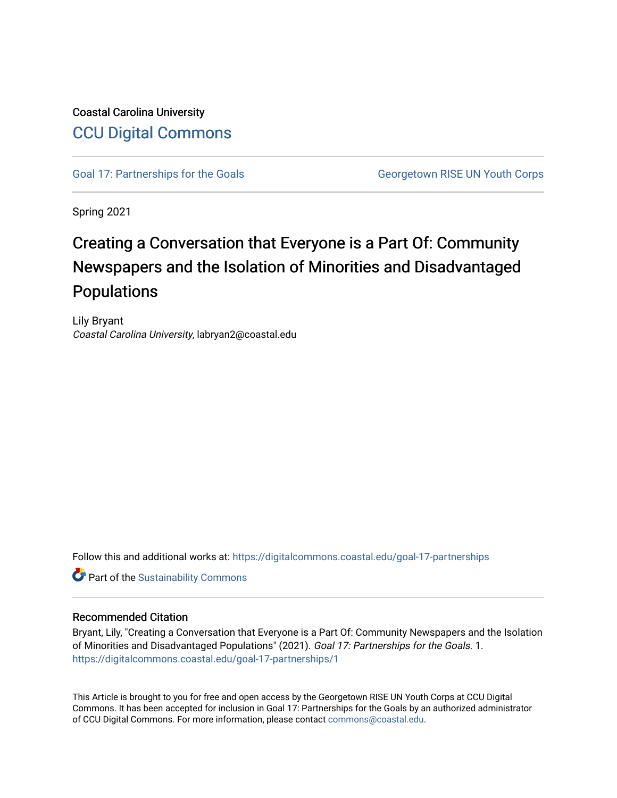## Coastal Carolina University [CCU Digital Commons](https://digitalcommons.coastal.edu/)

[Goal 17: Partnerships for the Goals](https://digitalcommons.coastal.edu/goal-17-partnerships) Georgetown RISE UN Youth Corps

Spring 2021

# Creating a Conversation that Everyone is a Part Of: Community Newspapers and the Isolation of Minorities and Disadvantaged Populations

Lily Bryant Coastal Carolina University, labryan2@coastal.edu

Follow this and additional works at: [https://digitalcommons.coastal.edu/goal-17-partnerships](https://digitalcommons.coastal.edu/goal-17-partnerships?utm_source=digitalcommons.coastal.edu%2Fgoal-17-partnerships%2F1&utm_medium=PDF&utm_campaign=PDFCoverPages) 

**Part of the [Sustainability Commons](http://network.bepress.com/hgg/discipline/1031?utm_source=digitalcommons.coastal.edu%2Fgoal-17-partnerships%2F1&utm_medium=PDF&utm_campaign=PDFCoverPages)** 

#### Recommended Citation

Bryant, Lily, "Creating a Conversation that Everyone is a Part Of: Community Newspapers and the Isolation of Minorities and Disadvantaged Populations" (2021). Goal 17: Partnerships for the Goals. 1. [https://digitalcommons.coastal.edu/goal-17-partnerships/1](https://digitalcommons.coastal.edu/goal-17-partnerships/1?utm_source=digitalcommons.coastal.edu%2Fgoal-17-partnerships%2F1&utm_medium=PDF&utm_campaign=PDFCoverPages) 

This Article is brought to you for free and open access by the Georgetown RISE UN Youth Corps at CCU Digital Commons. It has been accepted for inclusion in Goal 17: Partnerships for the Goals by an authorized administrator of CCU Digital Commons. For more information, please contact [commons@coastal.edu.](mailto:commons@coastal.edu)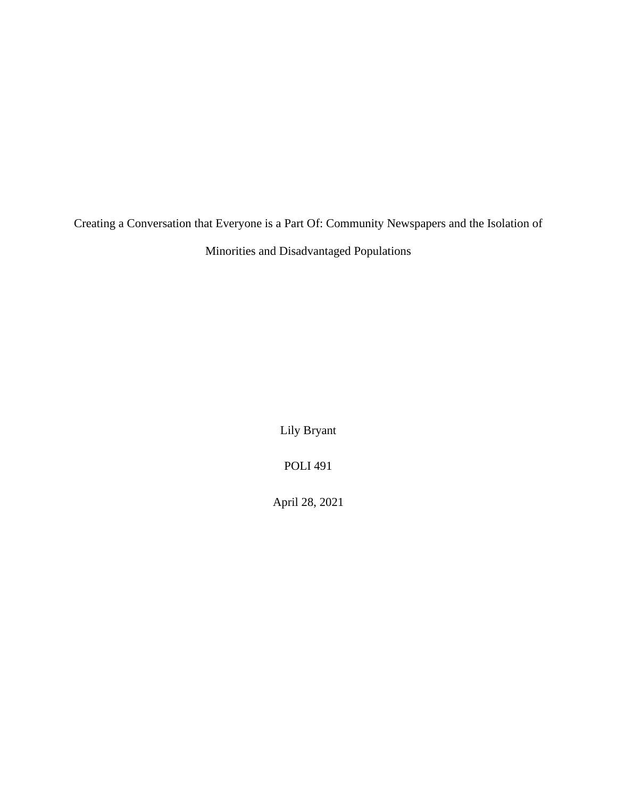Creating a Conversation that Everyone is a Part Of: Community Newspapers and the Isolation of Minorities and Disadvantaged Populations

Lily Bryant

POLI 491

April 28, 2021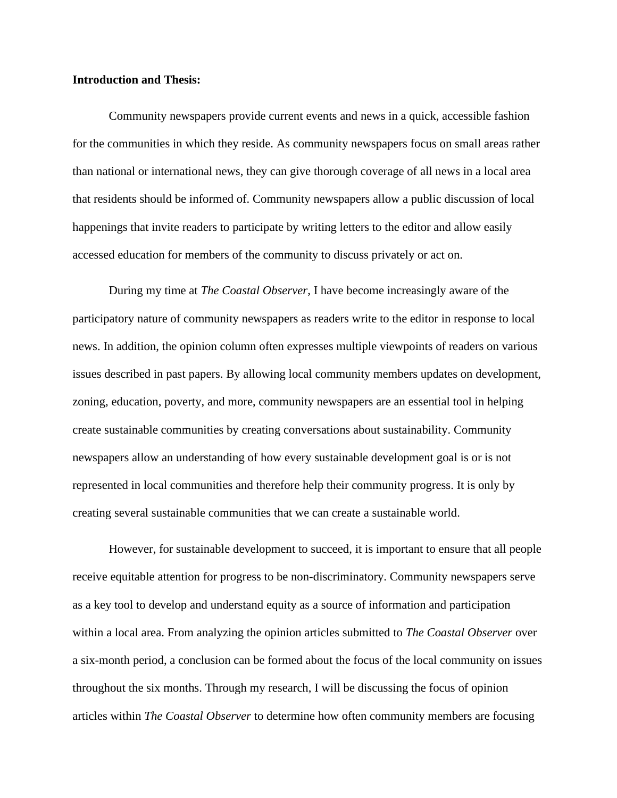#### **Introduction and Thesis:**

Community newspapers provide current events and news in a quick, accessible fashion for the communities in which they reside. As community newspapers focus on small areas rather than national or international news, they can give thorough coverage of all news in a local area that residents should be informed of. Community newspapers allow a public discussion of local happenings that invite readers to participate by writing letters to the editor and allow easily accessed education for members of the community to discuss privately or act on.

During my time at *The Coastal Observer*, I have become increasingly aware of the participatory nature of community newspapers as readers write to the editor in response to local news. In addition, the opinion column often expresses multiple viewpoints of readers on various issues described in past papers. By allowing local community members updates on development, zoning, education, poverty, and more, community newspapers are an essential tool in helping create sustainable communities by creating conversations about sustainability. Community newspapers allow an understanding of how every sustainable development goal is or is not represented in local communities and therefore help their community progress. It is only by creating several sustainable communities that we can create a sustainable world.

However, for sustainable development to succeed, it is important to ensure that all people receive equitable attention for progress to be non-discriminatory. Community newspapers serve as a key tool to develop and understand equity as a source of information and participation within a local area. From analyzing the opinion articles submitted to *The Coastal Observer* over a six-month period, a conclusion can be formed about the focus of the local community on issues throughout the six months. Through my research, I will be discussing the focus of opinion articles within *The Coastal Observer* to determine how often community members are focusing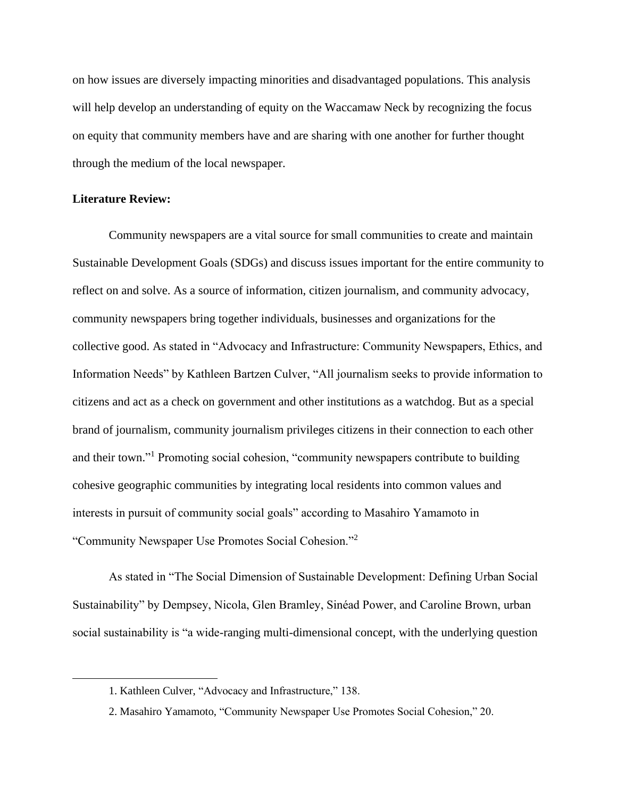on how issues are diversely impacting minorities and disadvantaged populations. This analysis will help develop an understanding of equity on the Waccamaw Neck by recognizing the focus on equity that community members have and are sharing with one another for further thought through the medium of the local newspaper.

### **Literature Review:**

Community newspapers are a vital source for small communities to create and maintain Sustainable Development Goals (SDGs) and discuss issues important for the entire community to reflect on and solve. As a source of information, citizen journalism, and community advocacy, community newspapers bring together individuals, businesses and organizations for the collective good. As stated in "Advocacy and Infrastructure: Community Newspapers, Ethics, and Information Needs" by Kathleen Bartzen Culver, "All journalism seeks to provide information to citizens and act as a check on government and other institutions as a watchdog. But as a special brand of journalism, community journalism privileges citizens in their connection to each other and their town."<sup>1</sup> Promoting social cohesion, "community newspapers contribute to building cohesive geographic communities by integrating local residents into common values and interests in pursuit of community social goals" according to Masahiro Yamamoto in "Community Newspaper Use Promotes Social Cohesion."<sup>2</sup>

As stated in "The Social Dimension of Sustainable Development: Defining Urban Social Sustainability" by Dempsey, Nicola, Glen Bramley, Sinéad Power, and Caroline Brown, urban social sustainability is "a wide-ranging multi-dimensional concept, with the underlying question

<sup>1.</sup> Kathleen Culver, "Advocacy and Infrastructure," 138.

<sup>2.</sup> Masahiro Yamamoto, "Community Newspaper Use Promotes Social Cohesion," 20.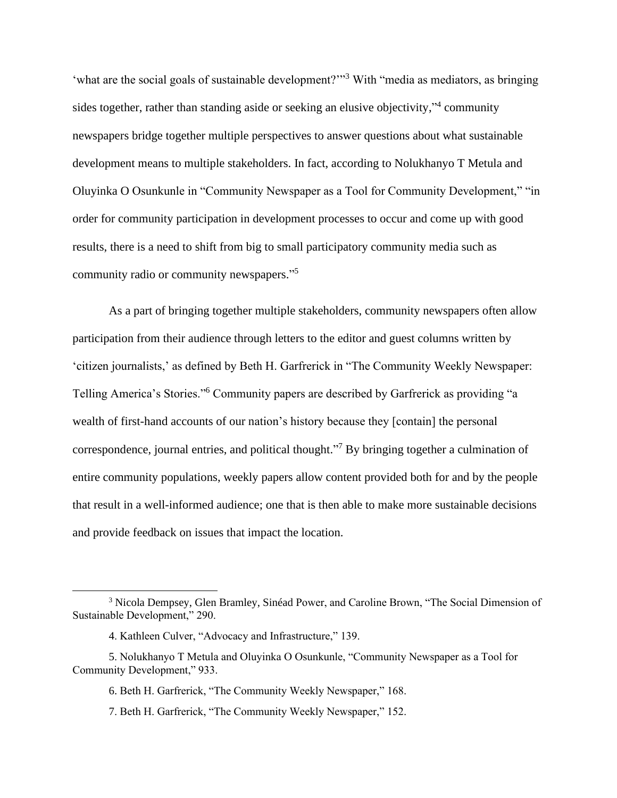'what are the social goals of sustainable development?"<sup>3</sup> With "media as mediators, as bringing sides together, rather than standing aside or seeking an elusive objectivity," community newspapers bridge together multiple perspectives to answer questions about what sustainable development means to multiple stakeholders. In fact, according to Nolukhanyo T Metula and Oluyinka O Osunkunle in "Community Newspaper as a Tool for Community Development," "in order for community participation in development processes to occur and come up with good results, there is a need to shift from big to small participatory community media such as community radio or community newspapers." 5

As a part of bringing together multiple stakeholders, community newspapers often allow participation from their audience through letters to the editor and guest columns written by 'citizen journalists,' as defined by Beth H. Garfrerick in "The Community Weekly Newspaper: Telling America's Stories."<sup>6</sup> Community papers are described by Garfrerick as providing "a wealth of first-hand accounts of our nation's history because they [contain] the personal correspondence, journal entries, and political thought."<sup>7</sup> By bringing together a culmination of entire community populations, weekly papers allow content provided both for and by the people that result in a well-informed audience; one that is then able to make more sustainable decisions and provide feedback on issues that impact the location.

7. Beth H. Garfrerick, "The Community Weekly Newspaper," 152.

<sup>&</sup>lt;sup>3</sup> Nicola Dempsey, Glen Bramley, Sinéad Power, and Caroline Brown, "The Social Dimension of Sustainable Development," 290.

<sup>4.</sup> Kathleen Culver, "Advocacy and Infrastructure," 139.

<sup>5.</sup> Nolukhanyo T Metula and Oluyinka O Osunkunle, "Community Newspaper as a Tool for Community Development," 933.

<sup>6.</sup> Beth H. Garfrerick, "The Community Weekly Newspaper," 168.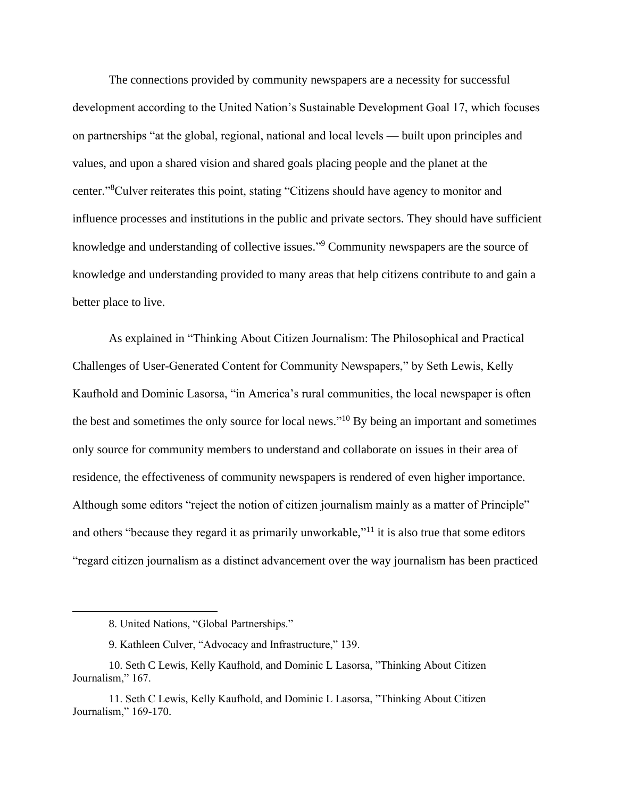The connections provided by community newspapers are a necessity for successful development according to the United Nation's Sustainable Development Goal 17, which focuses on partnerships "at the global, regional, national and local levels — built upon principles and values, and upon a shared vision and shared goals placing people and the planet at the center." <sup>8</sup>Culver reiterates this point, stating "Citizens should have agency to monitor and influence processes and institutions in the public and private sectors. They should have sufficient knowledge and understanding of collective issues."<sup>9</sup> Community newspapers are the source of knowledge and understanding provided to many areas that help citizens contribute to and gain a better place to live.

As explained in "Thinking About Citizen Journalism: The Philosophical and Practical Challenges of User-Generated Content for Community Newspapers," by Seth Lewis, Kelly Kaufhold and Dominic Lasorsa, "in America's rural communities, the local newspaper is often the best and sometimes the only source for local news."<sup>10</sup> By being an important and sometimes only source for community members to understand and collaborate on issues in their area of residence, the effectiveness of community newspapers is rendered of even higher importance. Although some editors "reject the notion of citizen journalism mainly as a matter of Principle" and others "because they regard it as primarily unworkable,"<sup>11</sup> it is also true that some editors "regard citizen journalism as a distinct advancement over the way journalism has been practiced

<sup>8.</sup> United Nations, "Global Partnerships."

<sup>9.</sup> Kathleen Culver, "Advocacy and Infrastructure," 139.

<sup>10.</sup> Seth C Lewis, Kelly Kaufhold, and Dominic L Lasorsa, "Thinking About Citizen Journalism," 167.

<sup>11.</sup> Seth C Lewis, Kelly Kaufhold, and Dominic L Lasorsa, "Thinking About Citizen Journalism," 169-170.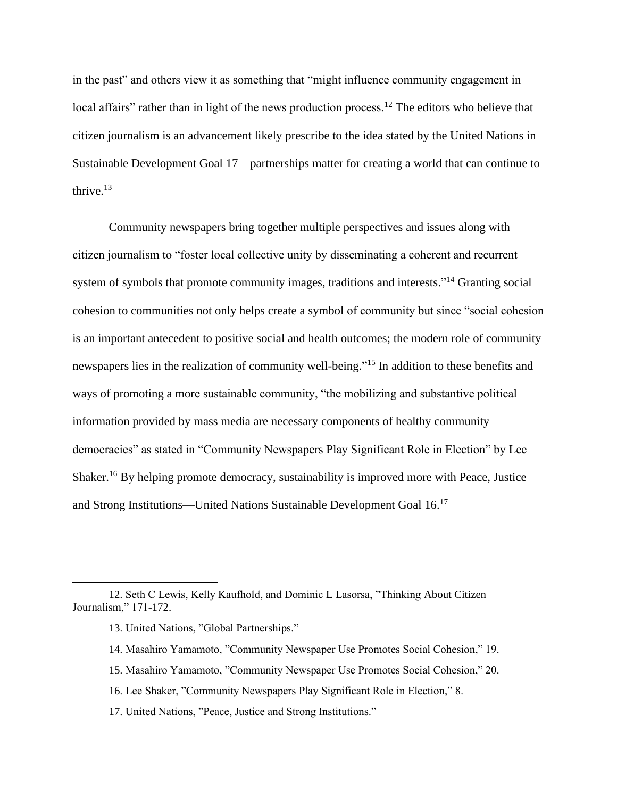in the past" and others view it as something that "might influence community engagement in local affairs" rather than in light of the news production process.<sup>12</sup> The editors who believe that citizen journalism is an advancement likely prescribe to the idea stated by the United Nations in Sustainable Development Goal 17—partnerships matter for creating a world that can continue to thrive.<sup>13</sup>

Community newspapers bring together multiple perspectives and issues along with citizen journalism to "foster local collective unity by disseminating a coherent and recurrent system of symbols that promote community images, traditions and interests."<sup>14</sup> Granting social cohesion to communities not only helps create a symbol of community but since "social cohesion is an important antecedent to positive social and health outcomes; the modern role of community newspapers lies in the realization of community well-being."<sup>15</sup> In addition to these benefits and ways of promoting a more sustainable community, "the mobilizing and substantive political information provided by mass media are necessary components of healthy community democracies" as stated in "Community Newspapers Play Significant Role in Election" by Lee Shaker.<sup>16</sup> By helping promote democracy, sustainability is improved more with Peace, Justice and Strong Institutions—United Nations Sustainable Development Goal 16.<sup>17</sup>

- 13. United Nations, "Global Partnerships."
- 14. Masahiro Yamamoto, "Community Newspaper Use Promotes Social Cohesion," 19.
- 15. Masahiro Yamamoto, "Community Newspaper Use Promotes Social Cohesion," 20.
- 16. Lee Shaker, "Community Newspapers Play Significant Role in Election," 8.
- 17. United Nations, "Peace, Justice and Strong Institutions."

<sup>12.</sup> Seth C Lewis, Kelly Kaufhold, and Dominic L Lasorsa, "Thinking About Citizen Journalism," 171-172.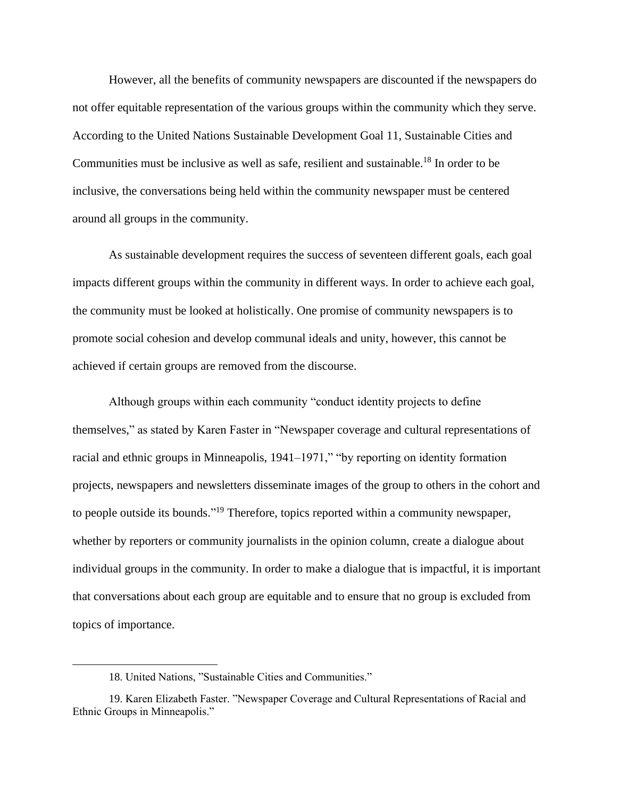However, all the benefits of community newspapers are discounted if the newspapers do not offer equitable representation of the various groups within the community which they serve. According to the United Nations Sustainable Development Goal 11, Sustainable Cities and Communities must be inclusive as well as safe, resilient and sustainable.<sup>18</sup> In order to be inclusive, the conversations being held within the community newspaper must be centered around all groups in the community.

As sustainable development requires the success of seventeen different goals, each goal impacts different groups within the community in different ways. In order to achieve each goal, the community must be looked at holistically. One promise of community newspapers is to promote social cohesion and develop communal ideals and unity, however, this cannot be achieved if certain groups are removed from the discourse.

Although groups within each community "conduct identity projects to define themselves," as stated by Karen Faster in "Newspaper coverage and cultural representations of racial and ethnic groups in Minneapolis, 1941–1971," "by reporting on identity formation projects, newspapers and newsletters disseminate images of the group to others in the cohort and to people outside its bounds."<sup>19</sup> Therefore, topics reported within a community newspaper, whether by reporters or community journalists in the opinion column, create a dialogue about individual groups in the community. In order to make a dialogue that is impactful, it is important that conversations about each group are equitable and to ensure that no group is excluded from topics of importance.

<sup>18.</sup> United Nations, "Sustainable Cities and Communities."

<sup>19.</sup> Karen Elizabeth Faster. "Newspaper Coverage and Cultural Representations of Racial and Ethnic Groups in Minneapolis."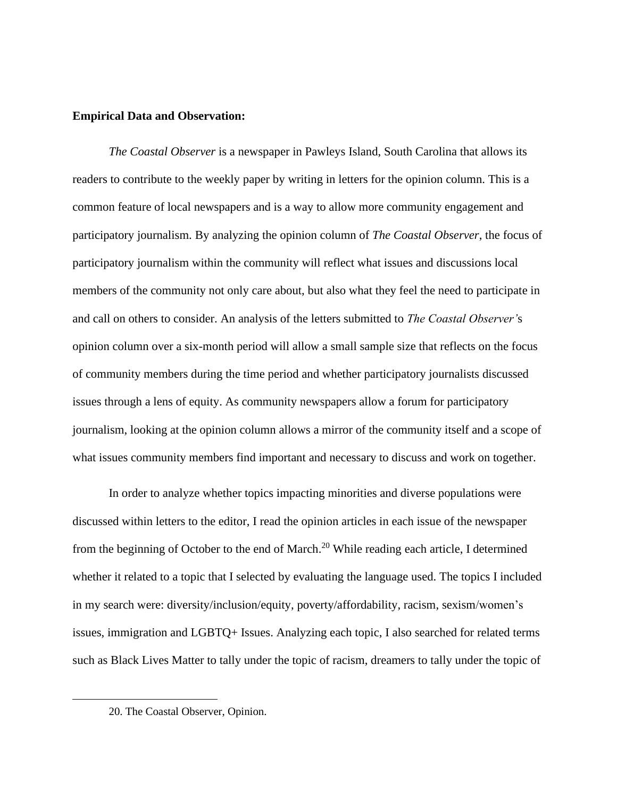#### **Empirical Data and Observation:**

*The Coastal Observer* is a newspaper in Pawleys Island, South Carolina that allows its readers to contribute to the weekly paper by writing in letters for the opinion column. This is a common feature of local newspapers and is a way to allow more community engagement and participatory journalism. By analyzing the opinion column of *The Coastal Observer*, the focus of participatory journalism within the community will reflect what issues and discussions local members of the community not only care about, but also what they feel the need to participate in and call on others to consider. An analysis of the letters submitted to *The Coastal Observer'*s opinion column over a six-month period will allow a small sample size that reflects on the focus of community members during the time period and whether participatory journalists discussed issues through a lens of equity. As community newspapers allow a forum for participatory journalism, looking at the opinion column allows a mirror of the community itself and a scope of what issues community members find important and necessary to discuss and work on together.

In order to analyze whether topics impacting minorities and diverse populations were discussed within letters to the editor, I read the opinion articles in each issue of the newspaper from the beginning of October to the end of March.<sup>20</sup> While reading each article, I determined whether it related to a topic that I selected by evaluating the language used. The topics I included in my search were: diversity/inclusion/equity, poverty/affordability, racism, sexism/women's issues, immigration and LGBTQ+ Issues. Analyzing each topic, I also searched for related terms such as Black Lives Matter to tally under the topic of racism, dreamers to tally under the topic of

<sup>20.</sup> The Coastal Observer, Opinion.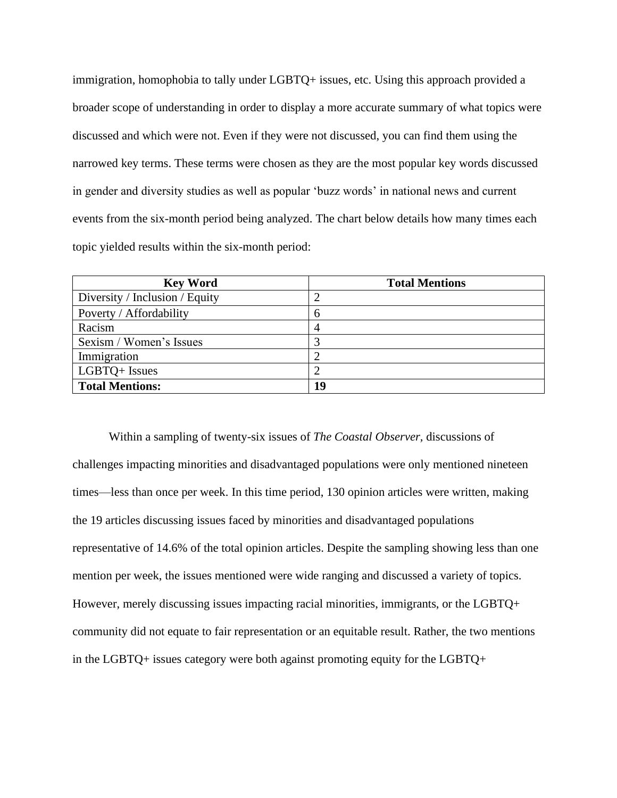immigration, homophobia to tally under LGBTQ+ issues, etc. Using this approach provided a broader scope of understanding in order to display a more accurate summary of what topics were discussed and which were not. Even if they were not discussed, you can find them using the narrowed key terms. These terms were chosen as they are the most popular key words discussed in gender and diversity studies as well as popular 'buzz words' in national news and current events from the six-month period being analyzed. The chart below details how many times each topic yielded results within the six-month period:

| <b>Key Word</b>                | <b>Total Mentions</b> |
|--------------------------------|-----------------------|
| Diversity / Inclusion / Equity |                       |
| Poverty / Affordability        | h                     |
| Racism                         |                       |
| Sexism / Women's Issues        |                       |
| Immigration                    |                       |
| LGBTQ+ Issues                  |                       |
| <b>Total Mentions:</b>         | 19                    |

Within a sampling of twenty-six issues of *The Coastal Observer,* discussions of challenges impacting minorities and disadvantaged populations were only mentioned nineteen times—less than once per week. In this time period, 130 opinion articles were written, making the 19 articles discussing issues faced by minorities and disadvantaged populations representative of 14.6% of the total opinion articles. Despite the sampling showing less than one mention per week, the issues mentioned were wide ranging and discussed a variety of topics. However, merely discussing issues impacting racial minorities, immigrants, or the LGBTQ+ community did not equate to fair representation or an equitable result. Rather, the two mentions in the LGBTQ+ issues category were both against promoting equity for the LGBTQ+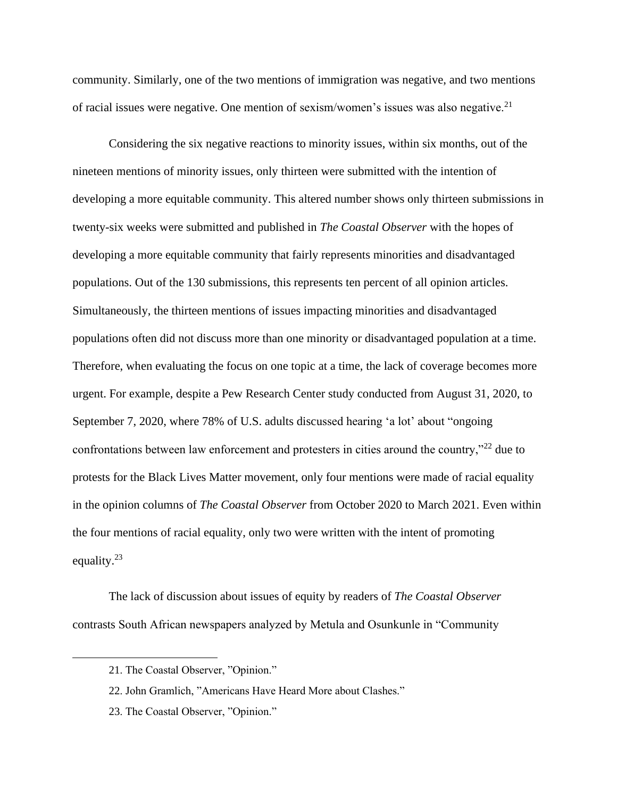community. Similarly, one of the two mentions of immigration was negative, and two mentions of racial issues were negative. One mention of sexism/women's issues was also negative.<sup>21</sup>

Considering the six negative reactions to minority issues, within six months, out of the nineteen mentions of minority issues, only thirteen were submitted with the intention of developing a more equitable community. This altered number shows only thirteen submissions in twenty-six weeks were submitted and published in *The Coastal Observer* with the hopes of developing a more equitable community that fairly represents minorities and disadvantaged populations. Out of the 130 submissions, this represents ten percent of all opinion articles. Simultaneously, the thirteen mentions of issues impacting minorities and disadvantaged populations often did not discuss more than one minority or disadvantaged population at a time. Therefore, when evaluating the focus on one topic at a time, the lack of coverage becomes more urgent. For example, despite a Pew Research Center study conducted from August 31, 2020, to September 7, 2020, where 78% of U.S. adults discussed hearing 'a lot' about "ongoing confrontations between law enforcement and protesters in cities around the country,"<sup>22</sup> due to protests for the Black Lives Matter movement, only four mentions were made of racial equality in the opinion columns of *The Coastal Observer* from October 2020 to March 2021. Even within the four mentions of racial equality, only two were written with the intent of promoting equality.<sup>23</sup>

The lack of discussion about issues of equity by readers of *The Coastal Observer* contrasts South African newspapers analyzed by Metula and Osunkunle in "Community

23. The Coastal Observer, "Opinion."

<sup>21.</sup> The Coastal Observer, "Opinion."

<sup>22.</sup> John Gramlich, "Americans Have Heard More about Clashes."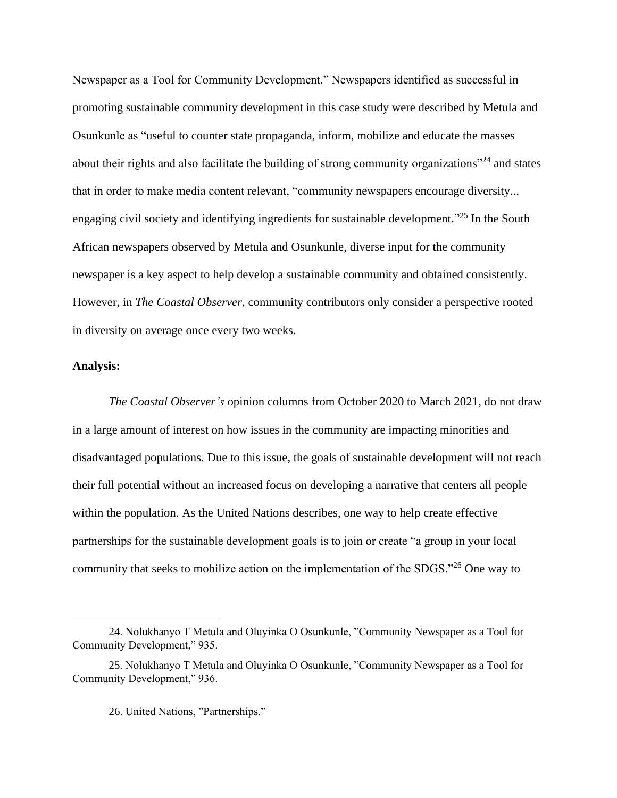Newspaper as a Tool for Community Development." Newspapers identified as successful in promoting sustainable community development in this case study were described by Metula and Osunkunle as "useful to counter state propaganda, inform, mobilize and educate the masses about their rights and also facilitate the building of strong community organizations"<sup>24</sup> and states that in order to make media content relevant, "community newspapers encourage diversity... engaging civil society and identifying ingredients for sustainable development."<sup>25</sup> In the South African newspapers observed by Metula and Osunkunle, diverse input for the community newspaper is a key aspect to help develop a sustainable community and obtained consistently. However, in *The Coastal Observer*, community contributors only consider a perspective rooted in diversity on average once every two weeks.

#### **Analysis:**

*The Coastal Observer's* opinion columns from October 2020 to March 2021, do not draw in a large amount of interest on how issues in the community are impacting minorities and disadvantaged populations. Due to this issue, the goals of sustainable development will not reach their full potential without an increased focus on developing a narrative that centers all people within the population. As the United Nations describes, one way to help create effective partnerships for the sustainable development goals is to join or create "a group in your local community that seeks to mobilize action on the implementation of the SDGS."<sup>26</sup> One way to

<sup>24.</sup> Nolukhanyo T Metula and Oluyinka O Osunkunle, "Community Newspaper as a Tool for Community Development," 935.

<sup>25.</sup> Nolukhanyo T Metula and Oluyinka O Osunkunle, "Community Newspaper as a Tool for Community Development," 936.

<sup>26.</sup> United Nations, "Partnerships."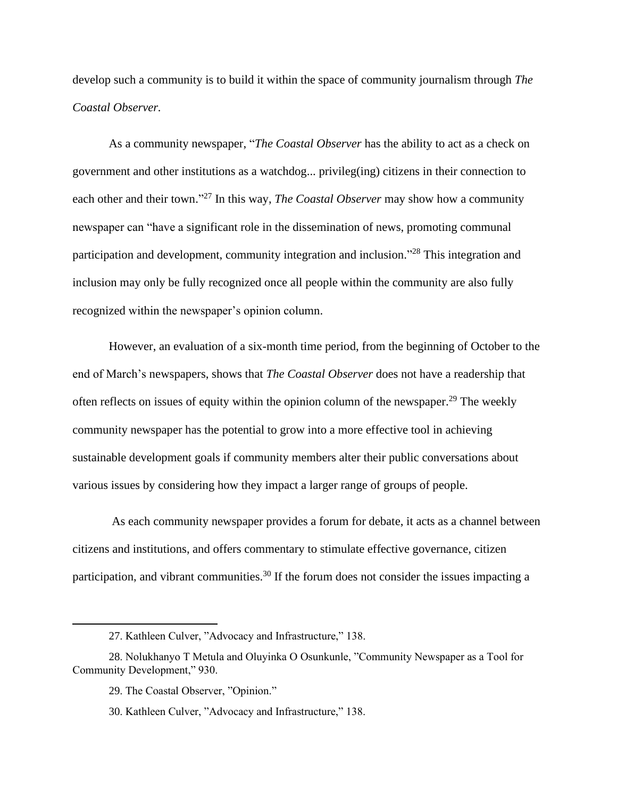develop such a community is to build it within the space of community journalism through *The Coastal Observer.*

As a community newspaper, "*The Coastal Observer* has the ability to act as a check on government and other institutions as a watchdog... privileg(ing) citizens in their connection to each other and their town."<sup>27</sup> In this way, *The Coastal Observer* may show how a community newspaper can "have a significant role in the dissemination of news, promoting communal participation and development, community integration and inclusion."<sup>28</sup> This integration and inclusion may only be fully recognized once all people within the community are also fully recognized within the newspaper's opinion column.

However, an evaluation of a six-month time period, from the beginning of October to the end of March's newspapers, shows that *The Coastal Observer* does not have a readership that often reflects on issues of equity within the opinion column of the newspaper.<sup>29</sup> The weekly community newspaper has the potential to grow into a more effective tool in achieving sustainable development goals if community members alter their public conversations about various issues by considering how they impact a larger range of groups of people.

As each community newspaper provides a forum for debate, it acts as a channel between citizens and institutions, and offers commentary to stimulate effective governance, citizen participation, and vibrant communities.<sup>30</sup> If the forum does not consider the issues impacting a

<sup>27.</sup> Kathleen Culver, "Advocacy and Infrastructure," 138.

<sup>28.</sup> Nolukhanyo T Metula and Oluyinka O Osunkunle, "Community Newspaper as a Tool for Community Development," 930.

<sup>29.</sup> The Coastal Observer, "Opinion."

<sup>30.</sup> Kathleen Culver, "Advocacy and Infrastructure," 138.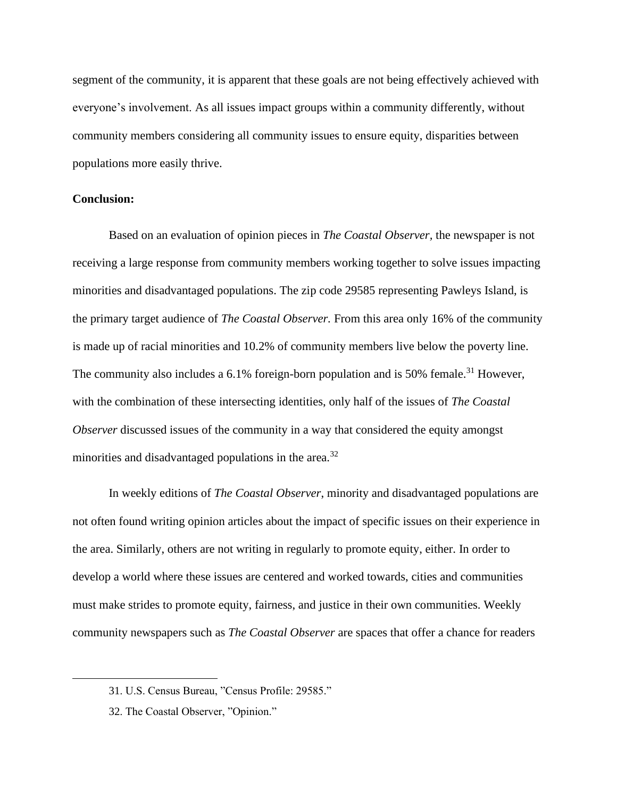segment of the community, it is apparent that these goals are not being effectively achieved with everyone's involvement. As all issues impact groups within a community differently, without community members considering all community issues to ensure equity, disparities between populations more easily thrive.

#### **Conclusion:**

Based on an evaluation of opinion pieces in *The Coastal Observer,* the newspaper is not receiving a large response from community members working together to solve issues impacting minorities and disadvantaged populations. The zip code 29585 representing Pawleys Island, is the primary target audience of *The Coastal Observer.* From this area only 16% of the community is made up of racial minorities and 10.2% of community members live below the poverty line. The community also includes a  $6.1\%$  foreign-born population and is 50% female.<sup>31</sup> However, with the combination of these intersecting identities, only half of the issues of *The Coastal Observer* discussed issues of the community in a way that considered the equity amongst minorities and disadvantaged populations in the area.<sup>32</sup>

In weekly editions of *The Coastal Observer*, minority and disadvantaged populations are not often found writing opinion articles about the impact of specific issues on their experience in the area. Similarly, others are not writing in regularly to promote equity, either. In order to develop a world where these issues are centered and worked towards, cities and communities must make strides to promote equity, fairness, and justice in their own communities. Weekly community newspapers such as *The Coastal Observer* are spaces that offer a chance for readers

<sup>31.</sup> U.S. Census Bureau, "Census Profile: 29585."

<sup>32.</sup> The Coastal Observer, "Opinion."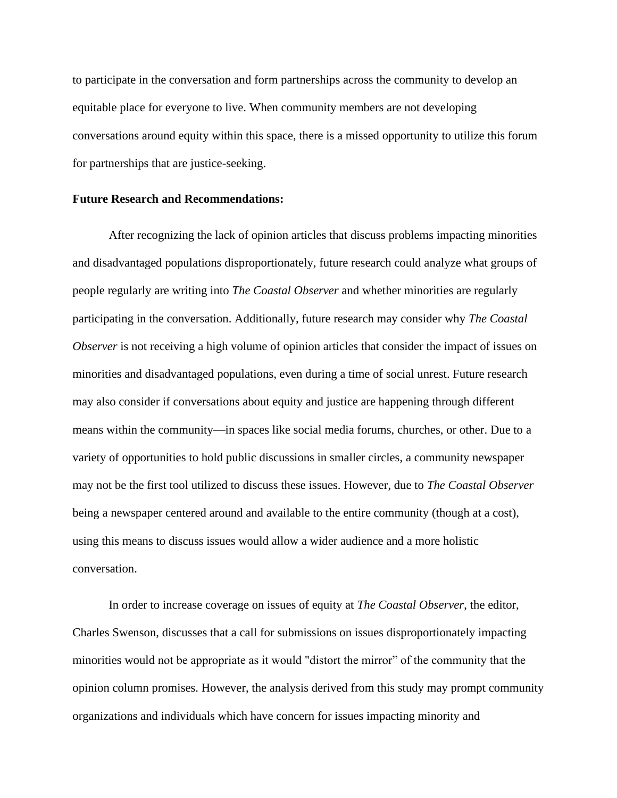to participate in the conversation and form partnerships across the community to develop an equitable place for everyone to live. When community members are not developing conversations around equity within this space, there is a missed opportunity to utilize this forum for partnerships that are justice-seeking.

#### **Future Research and Recommendations:**

After recognizing the lack of opinion articles that discuss problems impacting minorities and disadvantaged populations disproportionately, future research could analyze what groups of people regularly are writing into *The Coastal Observer* and whether minorities are regularly participating in the conversation. Additionally, future research may consider why *The Coastal Observer* is not receiving a high volume of opinion articles that consider the impact of issues on minorities and disadvantaged populations, even during a time of social unrest. Future research may also consider if conversations about equity and justice are happening through different means within the community—in spaces like social media forums, churches, or other. Due to a variety of opportunities to hold public discussions in smaller circles, a community newspaper may not be the first tool utilized to discuss these issues. However, due to *The Coastal Observer* being a newspaper centered around and available to the entire community (though at a cost), using this means to discuss issues would allow a wider audience and a more holistic conversation.

In order to increase coverage on issues of equity at *The Coastal Observer*, the editor, Charles Swenson, discusses that a call for submissions on issues disproportionately impacting minorities would not be appropriate as it would "distort the mirror" of the community that the opinion column promises. However, the analysis derived from this study may prompt community organizations and individuals which have concern for issues impacting minority and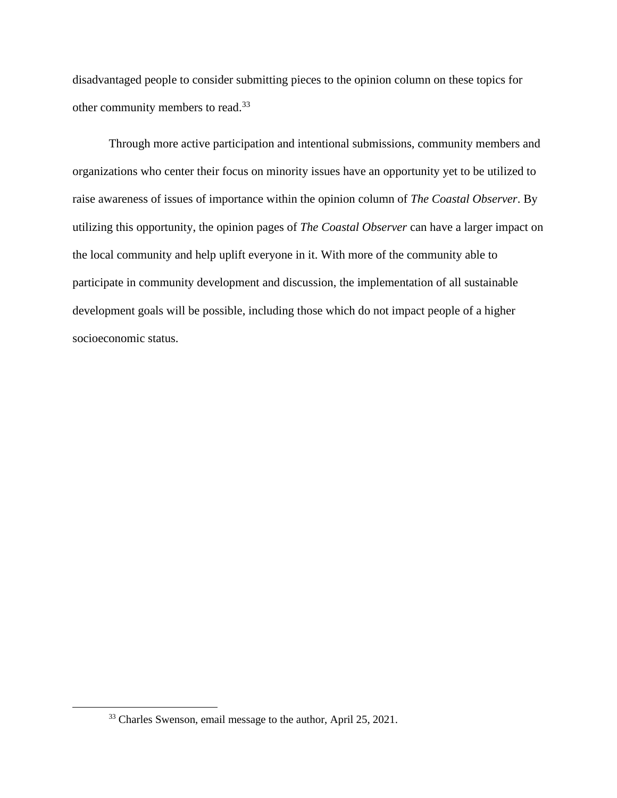disadvantaged people to consider submitting pieces to the opinion column on these topics for other community members to read.<sup>33</sup>

Through more active participation and intentional submissions, community members and organizations who center their focus on minority issues have an opportunity yet to be utilized to raise awareness of issues of importance within the opinion column of *The Coastal Observer*. By utilizing this opportunity, the opinion pages of *The Coastal Observer* can have a larger impact on the local community and help uplift everyone in it. With more of the community able to participate in community development and discussion, the implementation of all sustainable development goals will be possible, including those which do not impact people of a higher socioeconomic status.

<sup>&</sup>lt;sup>33</sup> Charles Swenson, email message to the author, April 25, 2021.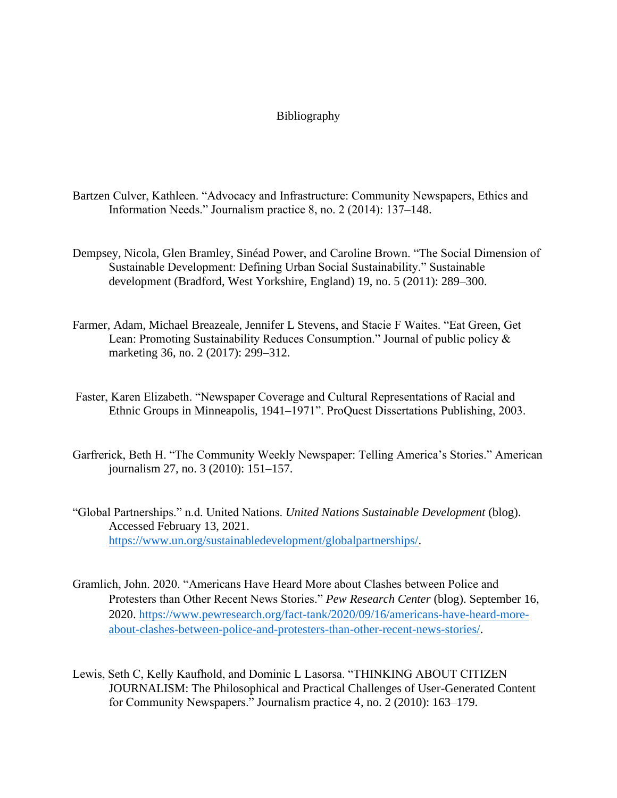#### Bibliography

- Bartzen Culver, Kathleen. "Advocacy and Infrastructure: Community Newspapers, Ethics and Information Needs." Journalism practice 8, no. 2 (2014): 137–148.
- Dempsey, Nicola, Glen Bramley, Sinéad Power, and Caroline Brown. "The Social Dimension of Sustainable Development: Defining Urban Social Sustainability." Sustainable development (Bradford, West Yorkshire, England) 19, no. 5 (2011): 289–300.
- Farmer, Adam, Michael Breazeale, Jennifer L Stevens, and Stacie F Waites. "Eat Green, Get Lean: Promoting Sustainability Reduces Consumption." Journal of public policy & marketing 36, no. 2 (2017): 299–312.
- Faster, Karen Elizabeth. "Newspaper Coverage and Cultural Representations of Racial and Ethnic Groups in Minneapolis, 1941–1971". ProQuest Dissertations Publishing, 2003.
- Garfrerick, Beth H. "The Community Weekly Newspaper: Telling America's Stories." American journalism 27, no. 3 (2010): 151–157.
- "Global Partnerships." n.d. United Nations. *United Nations Sustainable Development* (blog). Accessed February 13, 2021. [https://www.un.org/sustainabledevelopment/globalpartnerships/.](https://www.un.org/sustainabledevelopment/globalpartnerships/)
- Gramlich, John. 2020. "Americans Have Heard More about Clashes between Police and Protesters than Other Recent News Stories." *Pew Research Center* (blog). September 16, 2020. [https://www.pewresearch.org/fact-tank/2020/09/16/americans-have-heard-more](https://www.pewresearch.org/fact-tank/2020/09/16/americans-have-heard-more-about-clashes-between-police-and-protesters-than-other-recent-news-stories/)[about-clashes-between-police-and-protesters-than-other-recent-news-stories/.](https://www.pewresearch.org/fact-tank/2020/09/16/americans-have-heard-more-about-clashes-between-police-and-protesters-than-other-recent-news-stories/)
- Lewis, Seth C, Kelly Kaufhold, and Dominic L Lasorsa. "THINKING ABOUT CITIZEN JOURNALISM: The Philosophical and Practical Challenges of User-Generated Content for Community Newspapers." Journalism practice 4, no. 2 (2010): 163–179.